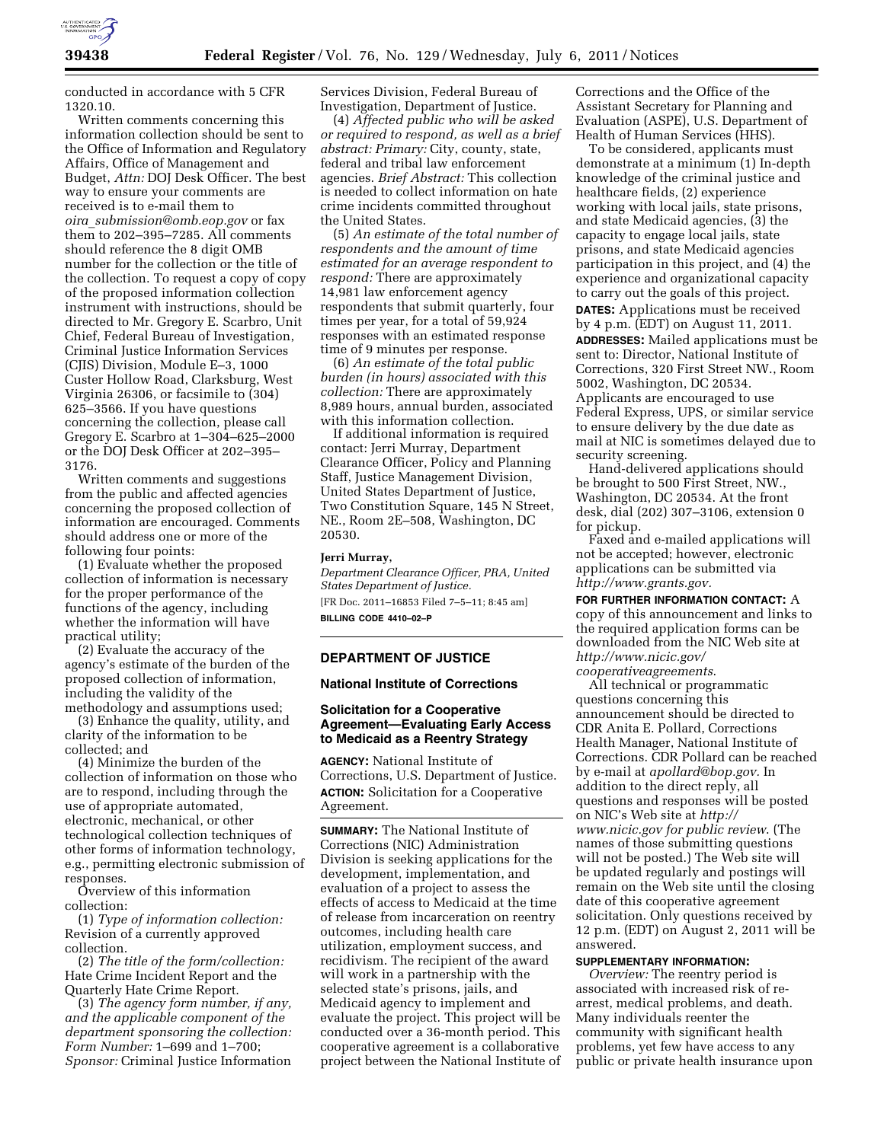

conducted in accordance with 5 CFR 1320.10.

Written comments concerning this information collection should be sent to the Office of Information and Regulatory Affairs, Office of Management and Budget, *Attn:* DOJ Desk Officer. The best way to ensure your comments are received is to e-mail them to *oira*\_*[submission@omb.eop.gov](mailto:oira_submission@omb.eop.gov)* or fax them to 202–395–7285. All comments should reference the 8 digit OMB number for the collection or the title of the collection. To request a copy of copy of the proposed information collection instrument with instructions, should be directed to Mr. Gregory E. Scarbro, Unit Chief, Federal Bureau of Investigation, Criminal Justice Information Services (CJIS) Division, Module E–3, 1000 Custer Hollow Road, Clarksburg, West Virginia 26306, or facsimile to (304) 625–3566. If you have questions concerning the collection, please call Gregory E. Scarbro at 1–304–625–2000 or the DOJ Desk Officer at 202–395– 3176.

Written comments and suggestions from the public and affected agencies concerning the proposed collection of information are encouraged. Comments should address one or more of the following four points:

(1) Evaluate whether the proposed collection of information is necessary for the proper performance of the functions of the agency, including whether the information will have practical utility;

(2) Evaluate the accuracy of the agency's estimate of the burden of the proposed collection of information, including the validity of the methodology and assumptions used;

(3) Enhance the quality, utility, and clarity of the information to be collected; and

(4) Minimize the burden of the collection of information on those who are to respond, including through the use of appropriate automated, electronic, mechanical, or other technological collection techniques of other forms of information technology, e.g., permitting electronic submission of responses.

Overview of this information collection:

(1) *Type of information collection:*  Revision of a currently approved collection.

(2) *The title of the form/collection:*  Hate Crime Incident Report and the Quarterly Hate Crime Report.

(3) *The agency form number, if any, and the applicable component of the department sponsoring the collection: Form Number:* 1–699 and 1–700; *Sponsor:* Criminal Justice Information

Services Division, Federal Bureau of Investigation, Department of Justice.

(4) *Affected public who will be asked or required to respond, as well as a brief abstract: Primary:* City, county, state, federal and tribal law enforcement agencies. *Brief Abstract:* This collection is needed to collect information on hate crime incidents committed throughout the United States.

(5) *An estimate of the total number of respondents and the amount of time estimated for an average respondent to respond:* There are approximately 14,981 law enforcement agency respondents that submit quarterly, four times per year, for a total of 59,924 responses with an estimated response time of 9 minutes per response.

(6) *An estimate of the total public burden (in hours) associated with this collection:* There are approximately 8,989 hours, annual burden, associated with this information collection.

If additional information is required contact: Jerri Murray, Department Clearance Officer, Policy and Planning Staff, Justice Management Division, United States Department of Justice, Two Constitution Square, 145 N Street, NE., Room 2E–508, Washington, DC 20530.

#### **Jerri Murray,**

*Department Clearance Officer, PRA, United States Department of Justice.*  [FR Doc. 2011–16853 Filed 7–5–11; 8:45 am]

**BILLING CODE 4410–02–P** 

## **DEPARTMENT OF JUSTICE**

#### **National Institute of Corrections**

## **Solicitation for a Cooperative Agreement—Evaluating Early Access to Medicaid as a Reentry Strategy**

**AGENCY:** National Institute of Corrections, U.S. Department of Justice. **ACTION:** Solicitation for a Cooperative Agreement.

**SUMMARY:** The National Institute of Corrections (NIC) Administration Division is seeking applications for the development, implementation, and evaluation of a project to assess the effects of access to Medicaid at the time of release from incarceration on reentry outcomes, including health care utilization, employment success, and recidivism. The recipient of the award will work in a partnership with the selected state's prisons, jails, and Medicaid agency to implement and evaluate the project. This project will be conducted over a 36-month period. This cooperative agreement is a collaborative project between the National Institute of

Corrections and the Office of the Assistant Secretary for Planning and Evaluation (ASPE), U.S. Department of Health of Human Services (HHS).

To be considered, applicants must demonstrate at a minimum (1) In-depth knowledge of the criminal justice and healthcare fields, (2) experience working with local jails, state prisons, and state Medicaid agencies, (3) the capacity to engage local jails, state prisons, and state Medicaid agencies participation in this project, and (4) the experience and organizational capacity to carry out the goals of this project. **DATES:** Applications must be received by 4 p.m. (EDT) on August 11, 2011. **ADDRESSES:** Mailed applications must be sent to: Director, National Institute of Corrections, 320 First Street NW., Room 5002, Washington, DC 20534. Applicants are encouraged to use Federal Express, UPS, or similar service to ensure delivery by the due date as mail at NIC is sometimes delayed due to security screening.

Hand-delivered applications should be brought to 500 First Street, NW., Washington, DC 20534. At the front desk, dial (202) 307–3106, extension 0 for pickup.

Faxed and e-mailed applications will not be accepted; however, electronic applications can be submitted via *[http://www.grants.gov.](http://www.grants.gov)* 

**FOR FURTHER INFORMATION CONTACT:** A copy of this announcement and links to the required application forms can be downloaded from the NIC Web site at *[http://www.nicic.gov/](http://www.nicic.gov/cooperativeagreements)  [cooperativeagreements](http://www.nicic.gov/cooperativeagreements)*.

All technical or programmatic questions concerning this announcement should be directed to CDR Anita E. Pollard, Corrections Health Manager, National Institute of Corrections. CDR Pollard can be reached by e-mail at *[apollard@bop.gov.](mailto:apollard@bop.gov)* In addition to the direct reply, all questions and responses will be posted on NIC's Web site at *[http://](http) www.nicic.gov for public review*. (The names of those submitting questions will not be posted.) The Web site will be updated regularly and postings will remain on the Web site until the closing date of this cooperative agreement solicitation. Only questions received by 12 p.m. (EDT) on August 2, 2011 will be answered.

# **SUPPLEMENTARY INFORMATION:**

*Overview:* The reentry period is associated with increased risk of rearrest, medical problems, and death. Many individuals reenter the community with significant health problems, yet few have access to any public or private health insurance upon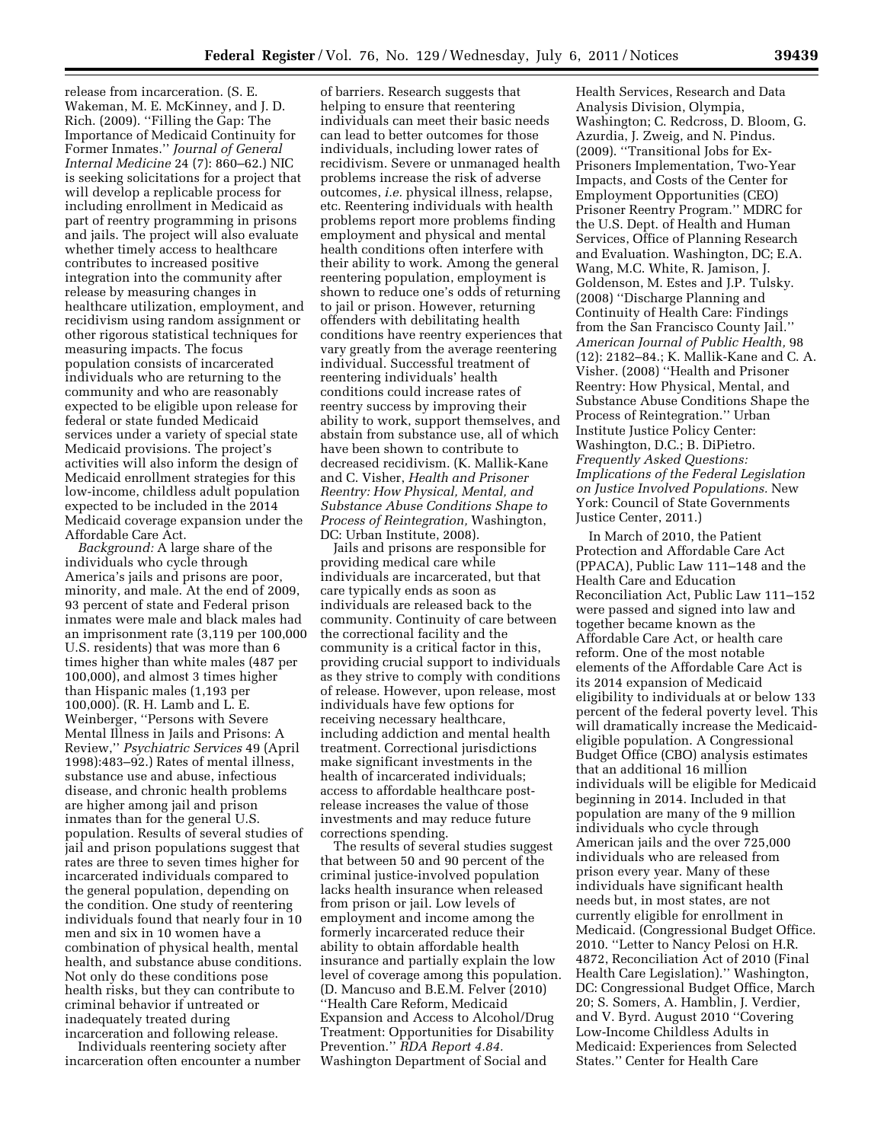release from incarceration. (S. E. Wakeman, M. E. McKinney, and J. D. Rich. (2009). ''Filling the Gap: The Importance of Medicaid Continuity for Former Inmates.'' *Journal of General Internal Medicine* 24 (7): 860–62.) NIC is seeking solicitations for a project that will develop a replicable process for including enrollment in Medicaid as part of reentry programming in prisons and jails. The project will also evaluate whether timely access to healthcare contributes to increased positive integration into the community after release by measuring changes in healthcare utilization, employment, and recidivism using random assignment or other rigorous statistical techniques for measuring impacts. The focus population consists of incarcerated individuals who are returning to the community and who are reasonably expected to be eligible upon release for federal or state funded Medicaid services under a variety of special state Medicaid provisions. The project's activities will also inform the design of Medicaid enrollment strategies for this low-income, childless adult population expected to be included in the 2014 Medicaid coverage expansion under the Affordable Care Act.

*Background:* A large share of the individuals who cycle through America's jails and prisons are poor, minority, and male. At the end of 2009, 93 percent of state and Federal prison inmates were male and black males had an imprisonment rate (3,119 per 100,000 U.S. residents) that was more than 6 times higher than white males (487 per 100,000), and almost 3 times higher than Hispanic males (1,193 per 100,000). (R. H. Lamb and L. E. Weinberger, ''Persons with Severe Mental Illness in Jails and Prisons: A Review,'' *Psychiatric Services* 49 (April 1998):483–92.) Rates of mental illness, substance use and abuse, infectious disease, and chronic health problems are higher among jail and prison inmates than for the general U.S. population. Results of several studies of jail and prison populations suggest that rates are three to seven times higher for incarcerated individuals compared to the general population, depending on the condition. One study of reentering individuals found that nearly four in 10 men and six in 10 women have a combination of physical health, mental health, and substance abuse conditions. Not only do these conditions pose health risks, but they can contribute to criminal behavior if untreated or inadequately treated during incarceration and following release.

Individuals reentering society after incarceration often encounter a number

of barriers. Research suggests that helping to ensure that reentering individuals can meet their basic needs can lead to better outcomes for those individuals, including lower rates of recidivism. Severe or unmanaged health problems increase the risk of adverse outcomes, *i.e.* physical illness, relapse, etc. Reentering individuals with health problems report more problems finding employment and physical and mental health conditions often interfere with their ability to work. Among the general reentering population, employment is shown to reduce one's odds of returning to jail or prison. However, returning offenders with debilitating health conditions have reentry experiences that vary greatly from the average reentering individual. Successful treatment of reentering individuals' health conditions could increase rates of reentry success by improving their ability to work, support themselves, and abstain from substance use, all of which have been shown to contribute to decreased recidivism. (K. Mallik-Kane and C. Visher, *Health and Prisoner Reentry: How Physical, Mental, and Substance Abuse Conditions Shape to Process of Reintegration,* Washington, DC: Urban Institute, 2008).

Jails and prisons are responsible for providing medical care while individuals are incarcerated, but that care typically ends as soon as individuals are released back to the community. Continuity of care between the correctional facility and the community is a critical factor in this, providing crucial support to individuals as they strive to comply with conditions of release. However, upon release, most individuals have few options for receiving necessary healthcare, including addiction and mental health treatment. Correctional jurisdictions make significant investments in the health of incarcerated individuals; access to affordable healthcare postrelease increases the value of those investments and may reduce future corrections spending.

The results of several studies suggest that between 50 and 90 percent of the criminal justice-involved population lacks health insurance when released from prison or jail. Low levels of employment and income among the formerly incarcerated reduce their ability to obtain affordable health insurance and partially explain the low level of coverage among this population. (D. Mancuso and B.E.M. Felver (2010) ''Health Care Reform, Medicaid Expansion and Access to Alcohol/Drug Treatment: Opportunities for Disability Prevention.'' *RDA Report 4.84.*  Washington Department of Social and

Health Services, Research and Data Analysis Division, Olympia, Washington; C. Redcross, D. Bloom, G. Azurdia, J. Zweig, and N. Pindus. (2009). ''Transitional Jobs for Ex-Prisoners Implementation, Two-Year Impacts, and Costs of the Center for Employment Opportunities (CEO) Prisoner Reentry Program.'' MDRC for the U.S. Dept. of Health and Human Services, Office of Planning Research and Evaluation. Washington, DC; E.A. Wang, M.C. White, R. Jamison, J. Goldenson, M. Estes and J.P. Tulsky. (2008) ''Discharge Planning and Continuity of Health Care: Findings from the San Francisco County Jail.'' *American Journal of Public Health,* 98 (12): 2182–84.; K. Mallik-Kane and C. A. Visher. (2008) ''Health and Prisoner Reentry: How Physical, Mental, and Substance Abuse Conditions Shape the Process of Reintegration.'' Urban Institute Justice Policy Center: Washington, D.C.; B. DiPietro. *Frequently Asked Questions: Implications of the Federal Legislation on Justice Involved Populations.* New York: Council of State Governments Justice Center, 2011.)

In March of 2010, the Patient Protection and Affordable Care Act (PPACA), Public Law 111–148 and the Health Care and Education Reconciliation Act, Public Law 111–152 were passed and signed into law and together became known as the Affordable Care Act, or health care reform. One of the most notable elements of the Affordable Care Act is its 2014 expansion of Medicaid eligibility to individuals at or below 133 percent of the federal poverty level. This will dramatically increase the Medicaideligible population. A Congressional Budget Office (CBO) analysis estimates that an additional 16 million individuals will be eligible for Medicaid beginning in 2014. Included in that population are many of the 9 million individuals who cycle through American jails and the over 725,000 individuals who are released from prison every year. Many of these individuals have significant health needs but, in most states, are not currently eligible for enrollment in Medicaid. (Congressional Budget Office. 2010. ''Letter to Nancy Pelosi on H.R. 4872, Reconciliation Act of 2010 (Final Health Care Legislation).'' Washington, DC: Congressional Budget Office, March 20; S. Somers, A. Hamblin, J. Verdier, and V. Byrd. August 2010 ''Covering Low-Income Childless Adults in Medicaid: Experiences from Selected States.'' Center for Health Care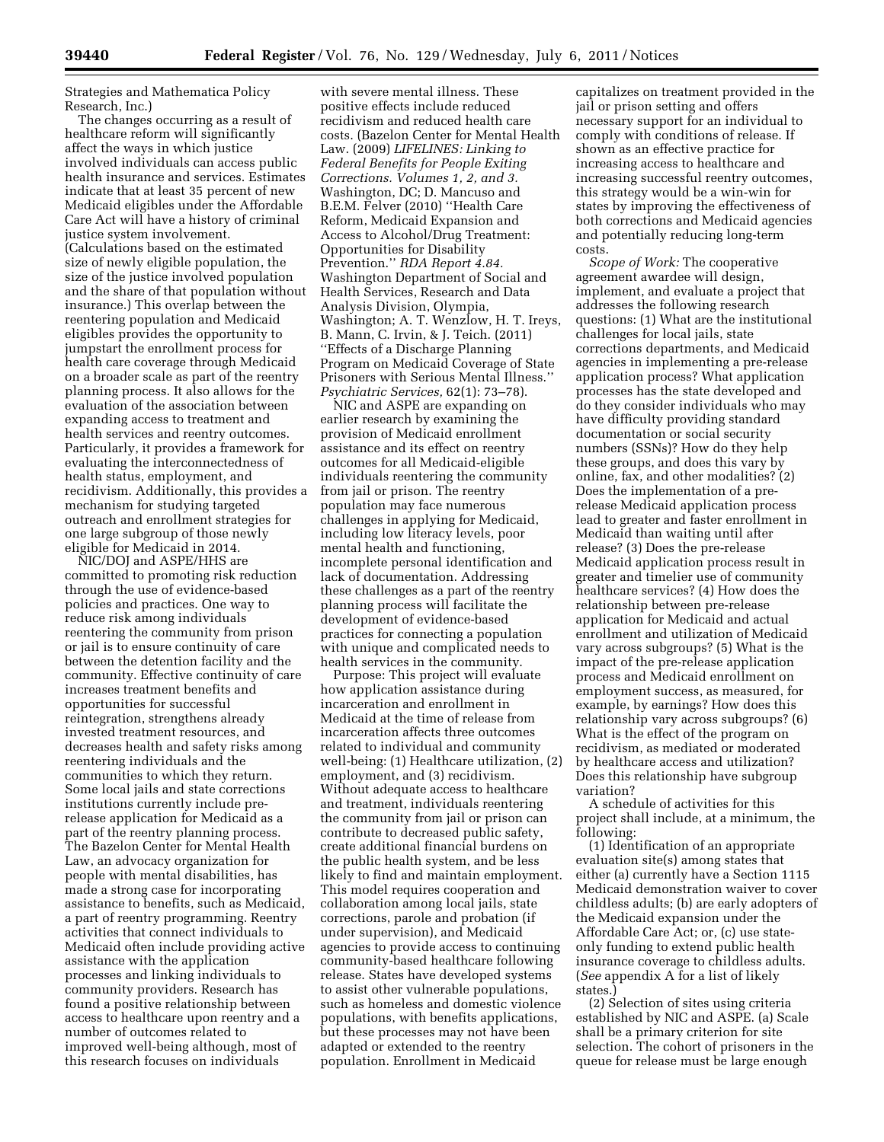Strategies and Mathematica Policy Research, Inc.)

The changes occurring as a result of healthcare reform will significantly affect the ways in which justice involved individuals can access public health insurance and services. Estimates indicate that at least 35 percent of new Medicaid eligibles under the Affordable Care Act will have a history of criminal justice system involvement. (Calculations based on the estimated size of newly eligible population, the size of the justice involved population and the share of that population without insurance.) This overlap between the reentering population and Medicaid eligibles provides the opportunity to jumpstart the enrollment process for health care coverage through Medicaid on a broader scale as part of the reentry planning process. It also allows for the evaluation of the association between expanding access to treatment and health services and reentry outcomes. Particularly, it provides a framework for evaluating the interconnectedness of health status, employment, and recidivism. Additionally, this provides a mechanism for studying targeted outreach and enrollment strategies for one large subgroup of those newly eligible for Medicaid in 2014.

NIC/DOJ and ASPE/HHS are committed to promoting risk reduction through the use of evidence-based policies and practices. One way to reduce risk among individuals reentering the community from prison or jail is to ensure continuity of care between the detention facility and the community. Effective continuity of care increases treatment benefits and opportunities for successful reintegration, strengthens already invested treatment resources, and decreases health and safety risks among reentering individuals and the communities to which they return. Some local jails and state corrections institutions currently include prerelease application for Medicaid as a part of the reentry planning process. The Bazelon Center for Mental Health Law, an advocacy organization for people with mental disabilities, has made a strong case for incorporating assistance to benefits, such as Medicaid, a part of reentry programming. Reentry activities that connect individuals to Medicaid often include providing active assistance with the application processes and linking individuals to community providers. Research has found a positive relationship between access to healthcare upon reentry and a number of outcomes related to improved well-being although, most of this research focuses on individuals

with severe mental illness. These positive effects include reduced recidivism and reduced health care costs. (Bazelon Center for Mental Health Law. (2009) *LIFELINES: Linking to Federal Benefits for People Exiting Corrections. Volumes 1, 2, and 3.*  Washington, DC; D. Mancuso and B.E.M. Felver (2010) ''Health Care Reform, Medicaid Expansion and Access to Alcohol/Drug Treatment: Opportunities for Disability Prevention.'' *RDA Report 4.84.*  Washington Department of Social and Health Services, Research and Data Analysis Division, Olympia, Washington; A. T. Wenzlow, H. T. Ireys, B. Mann, C. Irvin, & J. Teich. (2011) ''Effects of a Discharge Planning Program on Medicaid Coverage of State Prisoners with Serious Mental Illness.'' *Psychiatric Services,* 62(1): 73–78).

NIC and ASPE are expanding on earlier research by examining the provision of Medicaid enrollment assistance and its effect on reentry outcomes for all Medicaid-eligible individuals reentering the community from jail or prison. The reentry population may face numerous challenges in applying for Medicaid, including low literacy levels, poor mental health and functioning, incomplete personal identification and lack of documentation. Addressing these challenges as a part of the reentry planning process will facilitate the development of evidence-based practices for connecting a population with unique and complicated needs to health services in the community.

Purpose: This project will evaluate how application assistance during incarceration and enrollment in Medicaid at the time of release from incarceration affects three outcomes related to individual and community well-being: (1) Healthcare utilization, (2) employment, and (3) recidivism. Without adequate access to healthcare and treatment, individuals reentering the community from jail or prison can contribute to decreased public safety, create additional financial burdens on the public health system, and be less likely to find and maintain employment. This model requires cooperation and collaboration among local jails, state corrections, parole and probation (if under supervision), and Medicaid agencies to provide access to continuing community-based healthcare following release. States have developed systems to assist other vulnerable populations, such as homeless and domestic violence populations, with benefits applications, but these processes may not have been adapted or extended to the reentry population. Enrollment in Medicaid

capitalizes on treatment provided in the jail or prison setting and offers necessary support for an individual to comply with conditions of release. If shown as an effective practice for increasing access to healthcare and increasing successful reentry outcomes, this strategy would be a win-win for states by improving the effectiveness of both corrections and Medicaid agencies and potentially reducing long-term costs.

*Scope of Work:* The cooperative agreement awardee will design, implement, and evaluate a project that addresses the following research questions: (1) What are the institutional challenges for local jails, state corrections departments, and Medicaid agencies in implementing a pre-release application process? What application processes has the state developed and do they consider individuals who may have difficulty providing standard documentation or social security numbers (SSNs)? How do they help these groups, and does this vary by online, fax, and other modalities? (2) Does the implementation of a prerelease Medicaid application process lead to greater and faster enrollment in Medicaid than waiting until after release? (3) Does the pre-release Medicaid application process result in greater and timelier use of community healthcare services? (4) How does the relationship between pre-release application for Medicaid and actual enrollment and utilization of Medicaid vary across subgroups? (5) What is the impact of the pre-release application process and Medicaid enrollment on employment success, as measured, for example, by earnings? How does this relationship vary across subgroups? (6) What is the effect of the program on recidivism, as mediated or moderated by healthcare access and utilization? Does this relationship have subgroup variation?

A schedule of activities for this project shall include, at a minimum, the following:

(1) Identification of an appropriate evaluation site(s) among states that either (a) currently have a Section 1115 Medicaid demonstration waiver to cover childless adults; (b) are early adopters of the Medicaid expansion under the Affordable Care Act; or, (c) use stateonly funding to extend public health insurance coverage to childless adults. (*See* appendix A for a list of likely states.)

(2) Selection of sites using criteria established by NIC and ASPE. (a) Scale shall be a primary criterion for site selection. The cohort of prisoners in the queue for release must be large enough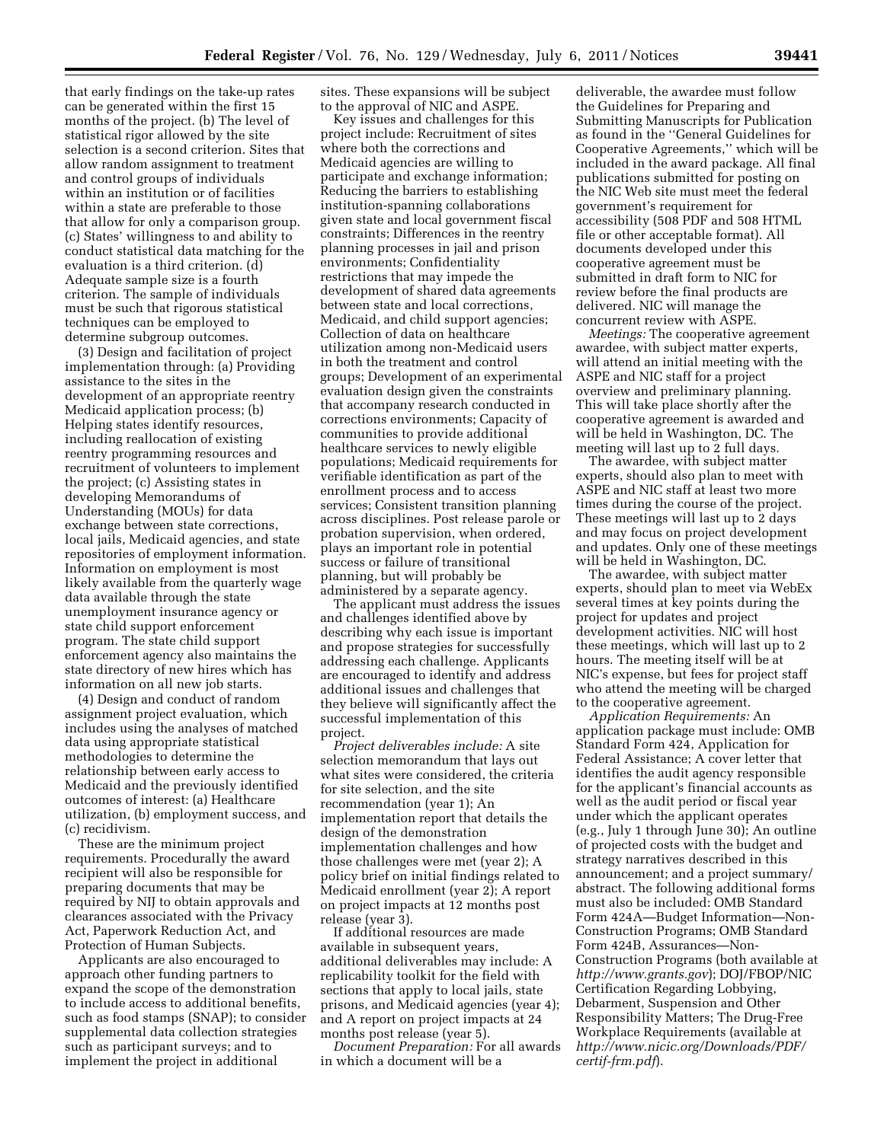that early findings on the take-up rates can be generated within the first 15 months of the project. (b) The level of statistical rigor allowed by the site selection is a second criterion. Sites that allow random assignment to treatment and control groups of individuals within an institution or of facilities within a state are preferable to those that allow for only a comparison group. (c) States' willingness to and ability to conduct statistical data matching for the evaluation is a third criterion. (d) Adequate sample size is a fourth criterion. The sample of individuals must be such that rigorous statistical techniques can be employed to determine subgroup outcomes.

(3) Design and facilitation of project implementation through: (a) Providing assistance to the sites in the development of an appropriate reentry Medicaid application process; (b) Helping states identify resources, including reallocation of existing reentry programming resources and recruitment of volunteers to implement the project; (c) Assisting states in developing Memorandums of Understanding (MOUs) for data exchange between state corrections, local jails, Medicaid agencies, and state repositories of employment information. Information on employment is most likely available from the quarterly wage data available through the state unemployment insurance agency or state child support enforcement program. The state child support enforcement agency also maintains the state directory of new hires which has information on all new job starts.

(4) Design and conduct of random assignment project evaluation, which includes using the analyses of matched data using appropriate statistical methodologies to determine the relationship between early access to Medicaid and the previously identified outcomes of interest: (a) Healthcare utilization, (b) employment success, and (c) recidivism.

These are the minimum project requirements. Procedurally the award recipient will also be responsible for preparing documents that may be required by NIJ to obtain approvals and clearances associated with the Privacy Act, Paperwork Reduction Act, and Protection of Human Subjects.

Applicants are also encouraged to approach other funding partners to expand the scope of the demonstration to include access to additional benefits, such as food stamps (SNAP); to consider supplemental data collection strategies such as participant surveys; and to implement the project in additional

sites. These expansions will be subject to the approval of NIC and ASPE.

Key issues and challenges for this project include: Recruitment of sites where both the corrections and Medicaid agencies are willing to participate and exchange information; Reducing the barriers to establishing institution-spanning collaborations given state and local government fiscal constraints; Differences in the reentry planning processes in jail and prison environments; Confidentiality restrictions that may impede the development of shared data agreements between state and local corrections, Medicaid, and child support agencies; Collection of data on healthcare utilization among non-Medicaid users in both the treatment and control groups; Development of an experimental evaluation design given the constraints that accompany research conducted in corrections environments; Capacity of communities to provide additional healthcare services to newly eligible populations; Medicaid requirements for verifiable identification as part of the enrollment process and to access services; Consistent transition planning across disciplines. Post release parole or probation supervision, when ordered, plays an important role in potential success or failure of transitional planning, but will probably be administered by a separate agency.

The applicant must address the issues and challenges identified above by describing why each issue is important and propose strategies for successfully addressing each challenge. Applicants are encouraged to identify and address additional issues and challenges that they believe will significantly affect the successful implementation of this project.

*Project deliverables include:* A site selection memorandum that lays out what sites were considered, the criteria for site selection, and the site recommendation (year 1); An implementation report that details the design of the demonstration implementation challenges and how those challenges were met (year 2); A policy brief on initial findings related to Medicaid enrollment (year 2); A report on project impacts at 12 months post release (year 3).

If additional resources are made available in subsequent years, additional deliverables may include: A replicability toolkit for the field with sections that apply to local jails, state prisons, and Medicaid agencies (year 4); and A report on project impacts at 24 months post release (year 5).

*Document Preparation:* For all awards in which a document will be a

deliverable, the awardee must follow the Guidelines for Preparing and Submitting Manuscripts for Publication as found in the ''General Guidelines for Cooperative Agreements,'' which will be included in the award package. All final publications submitted for posting on the NIC Web site must meet the federal government's requirement for accessibility (508 PDF and 508 HTML file or other acceptable format). All documents developed under this cooperative agreement must be submitted in draft form to NIC for review before the final products are delivered. NIC will manage the concurrent review with ASPE.

*Meetings:* The cooperative agreement awardee, with subject matter experts, will attend an initial meeting with the ASPE and NIC staff for a project overview and preliminary planning. This will take place shortly after the cooperative agreement is awarded and will be held in Washington, DC. The meeting will last up to 2 full days.

The awardee, with subject matter experts, should also plan to meet with ASPE and NIC staff at least two more times during the course of the project. These meetings will last up to 2 days and may focus on project development and updates. Only one of these meetings will be held in Washington, DC.

The awardee, with subject matter experts, should plan to meet via WebEx several times at key points during the project for updates and project development activities. NIC will host these meetings, which will last up to 2 hours. The meeting itself will be at NIC's expense, but fees for project staff who attend the meeting will be charged to the cooperative agreement.

*Application Requirements:* An application package must include: OMB Standard Form 424, Application for Federal Assistance; A cover letter that identifies the audit agency responsible for the applicant's financial accounts as well as the audit period or fiscal year under which the applicant operates (e.g., July 1 through June 30); An outline of projected costs with the budget and strategy narratives described in this announcement; and a project summary/ abstract. The following additional forms must also be included: OMB Standard Form 424A—Budget Information—Non-Construction Programs; OMB Standard Form 424B, Assurances—Non-Construction Programs (both available at *<http://www.grants.gov>*); DOJ/FBOP/NIC Certification Regarding Lobbying, Debarment, Suspension and Other Responsibility Matters; The Drug-Free Workplace Requirements (available at *[http://www.nicic.org/Downloads/PDF/](http://www.nicic.org/Downloads/PDF/certif-frm.pdf) [certif-frm.pdf](http://www.nicic.org/Downloads/PDF/certif-frm.pdf)*).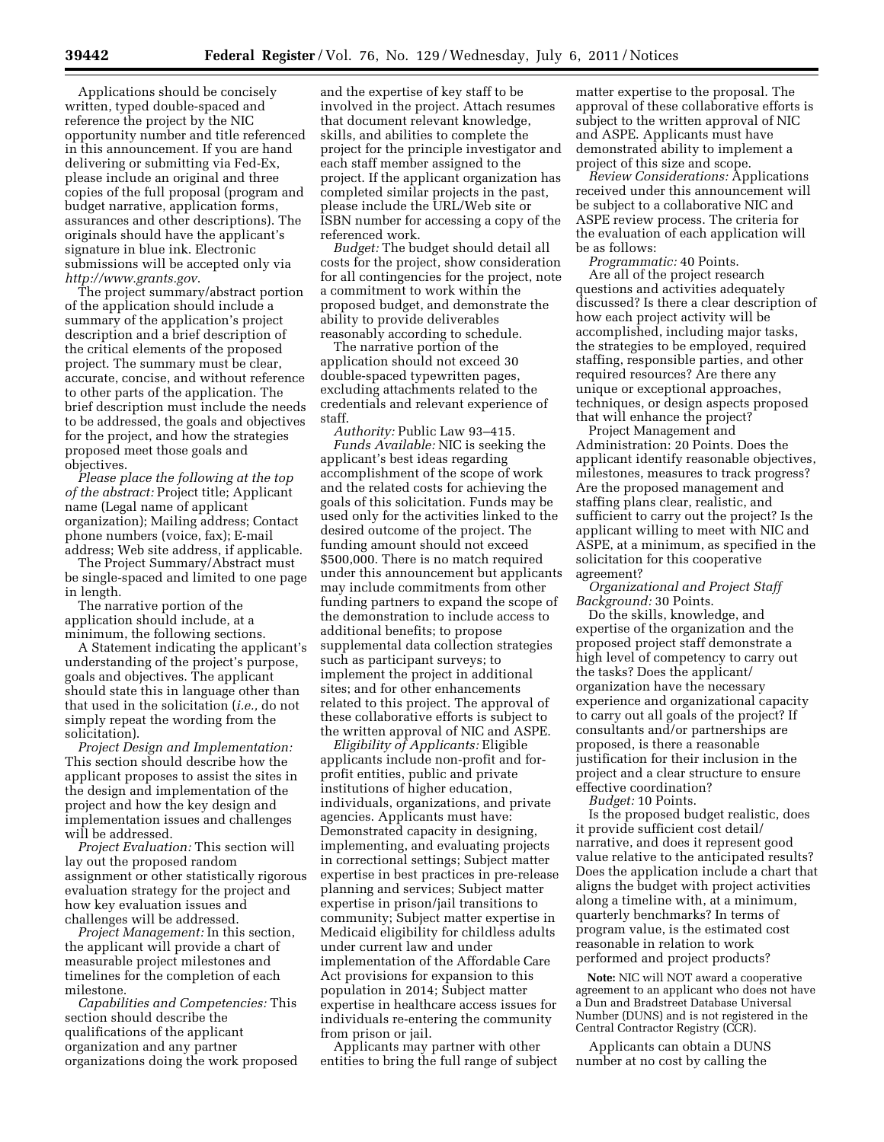Applications should be concisely written, typed double-spaced and reference the project by the NIC opportunity number and title referenced in this announcement. If you are hand delivering or submitting via Fed-Ex, please include an original and three copies of the full proposal (program and budget narrative, application forms, assurances and other descriptions). The originals should have the applicant's signature in blue ink. Electronic submissions will be accepted only via *<http://www.grants.gov>*.

The project summary/abstract portion of the application should include a summary of the application's project description and a brief description of the critical elements of the proposed project. The summary must be clear, accurate, concise, and without reference to other parts of the application. The brief description must include the needs to be addressed, the goals and objectives for the project, and how the strategies proposed meet those goals and objectives.

*Please place the following at the top of the abstract:* Project title; Applicant name (Legal name of applicant organization); Mailing address; Contact phone numbers (voice, fax); E-mail address; Web site address, if applicable.

The Project Summary/Abstract must be single-spaced and limited to one page in length.

The narrative portion of the application should include, at a minimum, the following sections.

A Statement indicating the applicant's understanding of the project's purpose, goals and objectives. The applicant should state this in language other than that used in the solicitation (*i.e.,* do not simply repeat the wording from the solicitation).

*Project Design and Implementation:*  This section should describe how the applicant proposes to assist the sites in the design and implementation of the project and how the key design and implementation issues and challenges will be addressed.

*Project Evaluation:* This section will lay out the proposed random assignment or other statistically rigorous evaluation strategy for the project and how key evaluation issues and challenges will be addressed.

*Project Management:* In this section, the applicant will provide a chart of measurable project milestones and timelines for the completion of each milestone.

*Capabilities and Competencies:* This section should describe the qualifications of the applicant organization and any partner organizations doing the work proposed

and the expertise of key staff to be involved in the project. Attach resumes that document relevant knowledge, skills, and abilities to complete the project for the principle investigator and each staff member assigned to the project. If the applicant organization has completed similar projects in the past, please include the URL/Web site or ISBN number for accessing a copy of the referenced work.

*Budget:* The budget should detail all costs for the project, show consideration for all contingencies for the project, note a commitment to work within the proposed budget, and demonstrate the ability to provide deliverables reasonably according to schedule.

The narrative portion of the application should not exceed 30 double-spaced typewritten pages, excluding attachments related to the credentials and relevant experience of staff.

*Authority:* Public Law 93–415. *Funds Available:* NIC is seeking the applicant's best ideas regarding accomplishment of the scope of work and the related costs for achieving the goals of this solicitation. Funds may be used only for the activities linked to the desired outcome of the project. The funding amount should not exceed \$500,000. There is no match required under this announcement but applicants may include commitments from other funding partners to expand the scope of the demonstration to include access to additional benefits; to propose supplemental data collection strategies such as participant surveys; to implement the project in additional sites; and for other enhancements related to this project. The approval of these collaborative efforts is subject to the written approval of NIC and ASPE.

*Eligibility of Applicants:* Eligible applicants include non-profit and forprofit entities, public and private institutions of higher education, individuals, organizations, and private agencies. Applicants must have: Demonstrated capacity in designing, implementing, and evaluating projects in correctional settings; Subject matter expertise in best practices in pre-release planning and services; Subject matter expertise in prison/jail transitions to community; Subject matter expertise in Medicaid eligibility for childless adults under current law and under implementation of the Affordable Care Act provisions for expansion to this population in 2014; Subject matter expertise in healthcare access issues for individuals re-entering the community from prison or jail.

Applicants may partner with other entities to bring the full range of subject matter expertise to the proposal. The approval of these collaborative efforts is subject to the written approval of NIC and ASPE. Applicants must have demonstrated ability to implement a project of this size and scope.

*Review Considerations:* Applications received under this announcement will be subject to a collaborative NIC and ASPE review process. The criteria for the evaluation of each application will be as follows:

*Programmatic:* 40 Points. Are all of the project research questions and activities adequately discussed? Is there a clear description of how each project activity will be accomplished, including major tasks, the strategies to be employed, required staffing, responsible parties, and other required resources? Are there any unique or exceptional approaches, techniques, or design aspects proposed that will enhance the project?

Project Management and Administration: 20 Points. Does the applicant identify reasonable objectives, milestones, measures to track progress? Are the proposed management and staffing plans clear, realistic, and sufficient to carry out the project? Is the applicant willing to meet with NIC and ASPE, at a minimum, as specified in the solicitation for this cooperative agreement?

*Organizational and Project Staff Background:* 30 Points.

Do the skills, knowledge, and expertise of the organization and the proposed project staff demonstrate a high level of competency to carry out the tasks? Does the applicant/ organization have the necessary experience and organizational capacity to carry out all goals of the project? If consultants and/or partnerships are proposed, is there a reasonable justification for their inclusion in the project and a clear structure to ensure effective coordination?

*Budget:* 10 Points.

Is the proposed budget realistic, does it provide sufficient cost detail/ narrative, and does it represent good value relative to the anticipated results? Does the application include a chart that aligns the budget with project activities along a timeline with, at a minimum, quarterly benchmarks? In terms of program value, is the estimated cost reasonable in relation to work performed and project products?

**Note:** NIC will NOT award a cooperative agreement to an applicant who does not have a Dun and Bradstreet Database Universal Number (DUNS) and is not registered in the Central Contractor Registry (CCR).

Applicants can obtain a DUNS number at no cost by calling the